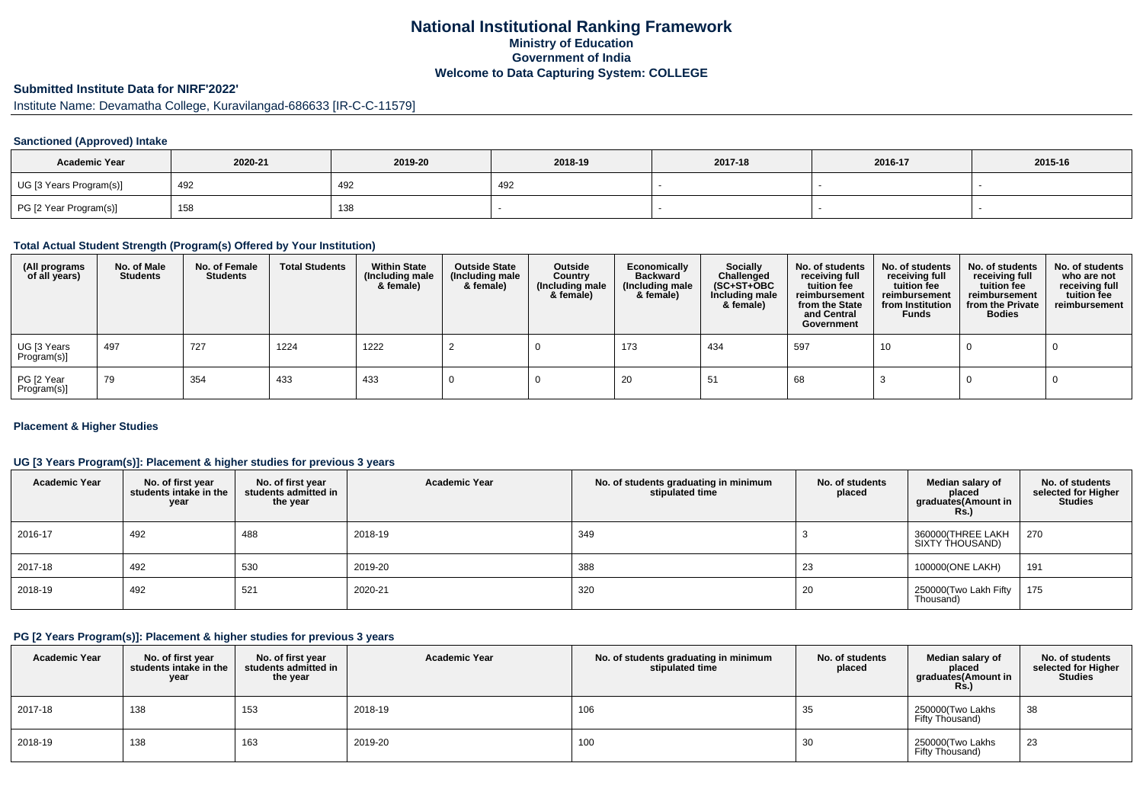## **National Institutional Ranking FrameworkMinistry of Education Government of IndiaWelcome to Data Capturing System: COLLEGE**

# **Submitted Institute Data for NIRF'2022'**

Institute Name: Devamatha College, Kuravilangad-686633 [IR-C-C-11579]

#### **Sanctioned (Approved) Intake**

| <b>Academic Year</b>    | 2020-21 | 2019-20 | 2018-19 | 2017-18 | 2016-17 | 2015-16 |
|-------------------------|---------|---------|---------|---------|---------|---------|
| UG [3 Years Program(s)] | 492     | 492     | 492     |         |         |         |
| PG [2 Year Program(s)]  | 158     | 138     |         |         |         |         |

#### **Total Actual Student Strength (Program(s) Offered by Your Institution)**

| (All programs<br>of all years) | No. of Male<br><b>Students</b> | No. of Female<br>Students | <b>Total Students</b> | <b>Within State</b><br>(Including male<br>& female) | <b>Outside State</b><br>(Including male<br>& female) | Outside<br>Country<br>(Including male<br>& female) | Economically<br>Backward<br>(Including male<br>& female) | <b>Socially</b><br>Challenged<br>$(SC+ST+OBC)$<br>Including male<br>& female) | No. of students<br>receiving full<br>tuition fee<br>reimbursement<br>from the State<br>and Central<br>Government | No. of students<br>receiving full<br>tuition fee<br>reimbursement<br>from Institution<br><b>Funds</b> | No. of students<br>receiving full<br>tuition fee<br>reimbursement<br>from the Private<br><b>Bodies</b> | No. of students<br>who are not<br>receiving full<br>tuition fee<br>reimbursement |
|--------------------------------|--------------------------------|---------------------------|-----------------------|-----------------------------------------------------|------------------------------------------------------|----------------------------------------------------|----------------------------------------------------------|-------------------------------------------------------------------------------|------------------------------------------------------------------------------------------------------------------|-------------------------------------------------------------------------------------------------------|--------------------------------------------------------------------------------------------------------|----------------------------------------------------------------------------------|
| UG [3 Years<br>Program(s)]     | 497                            | 727                       | 1224                  | 1222                                                |                                                      |                                                    | 173                                                      | 434                                                                           | 597                                                                                                              | 10                                                                                                    |                                                                                                        |                                                                                  |
| PG [2 Year<br>Program(s)]      | 79                             | 354                       | 433                   | 433                                                 |                                                      |                                                    | 20                                                       | -51                                                                           | 68                                                                                                               |                                                                                                       |                                                                                                        |                                                                                  |

#### **Placement & Higher Studies**

#### **UG [3 Years Program(s)]: Placement & higher studies for previous 3 years**

| <b>Academic Year</b> | No. of first year<br>students intake in the<br>year | No. of first vear<br>students admitted in<br>the year | <b>Academic Year</b> | No. of students graduating in minimum<br>stipulated time | No. of students<br>placed | Median salary of<br>placed<br>graduates(Amount in<br>Rs.) | No. of students<br>selected for Higher<br><b>Studies</b> |
|----------------------|-----------------------------------------------------|-------------------------------------------------------|----------------------|----------------------------------------------------------|---------------------------|-----------------------------------------------------------|----------------------------------------------------------|
| 2016-17              | 492                                                 | 488                                                   | 2018-19              | 349                                                      |                           | 360000(THREE LAKH<br>SIXTY THOUSAND)                      | 270                                                      |
| 2017-18              | 492                                                 | 530                                                   | 2019-20              | 388                                                      | 23                        | 100000(ONE LAKH)                                          | 191                                                      |
| 2018-19              | 492                                                 | 521                                                   | 2020-21              | 320                                                      | 20                        | 250000(Two Lakh Fifty<br>Thousand)                        | 175                                                      |

#### **PG [2 Years Program(s)]: Placement & higher studies for previous 3 years**

| <b>Academic Year</b> | No. of first year<br>students intake in the<br>year | No. of first year<br>students admitted in<br>the year | <b>Academic Year</b> | No. of students graduating in minimum<br>stipulated time | No. of students<br>placed | Median salary of<br>placed<br>graduates(Amount in<br>Rs. | No. of students<br>selected for Higher<br><b>Studies</b> |
|----------------------|-----------------------------------------------------|-------------------------------------------------------|----------------------|----------------------------------------------------------|---------------------------|----------------------------------------------------------|----------------------------------------------------------|
| 2017-18              | 138                                                 | 153                                                   | 2018-19              | 106                                                      | 35                        | 250000(Two Lakhs<br>Fifty Thousand)                      | 38                                                       |
| 2018-19              | 138                                                 | 163                                                   | 2019-20              | 100                                                      | 30                        | 250000(Two Lakhs<br>Fifty Thousand)                      | 23                                                       |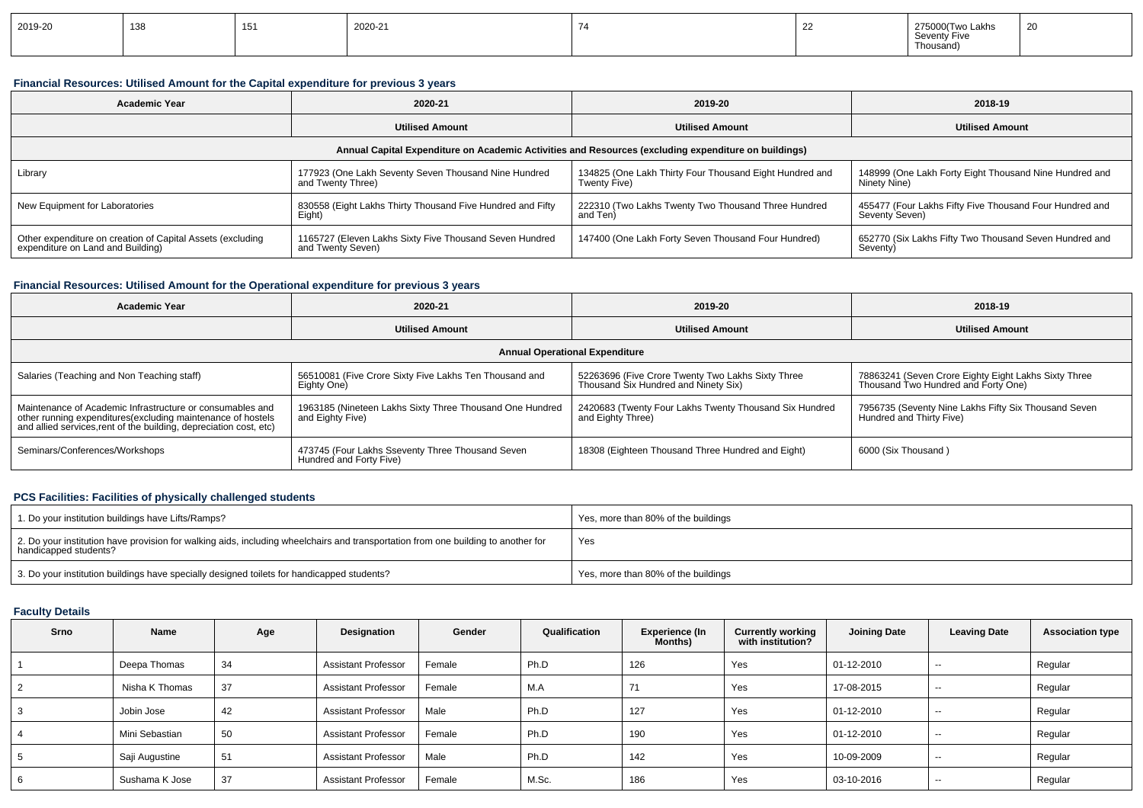| 2019-20 | 138<br>סטו | ັບ | 2020-21 |  | -- | wo Lakhs<br>275000/<br>Seventy Five<br>Thousand | $\sim$<br>∠∪ |
|---------|------------|----|---------|--|----|-------------------------------------------------|--------------|
|---------|------------|----|---------|--|----|-------------------------------------------------|--------------|

### **Financial Resources: Utilised Amount for the Capital expenditure for previous 3 years**

| <b>Academic Year</b>                                                                                 | 2020-21                                                                      | 2019-20                                                                 | 2018-19                                                                                |  |  |  |  |  |  |
|------------------------------------------------------------------------------------------------------|------------------------------------------------------------------------------|-------------------------------------------------------------------------|----------------------------------------------------------------------------------------|--|--|--|--|--|--|
|                                                                                                      | <b>Utilised Amount</b>                                                       | <b>Utilised Amount</b>                                                  | <b>Utilised Amount</b>                                                                 |  |  |  |  |  |  |
| Annual Capital Expenditure on Academic Activities and Resources (excluding expenditure on buildings) |                                                                              |                                                                         |                                                                                        |  |  |  |  |  |  |
| Library                                                                                              | 177923 (One Lakh Seventy Seven Thousand Nine Hundred<br>and Twenty Three)    | 134825 (One Lakh Thirty Four Thousand Eight Hundred and<br>Twenty Five) | 148999 (One Lakh Forty Eight Thousand Nine Hundred and<br>Ninety Nine)                 |  |  |  |  |  |  |
| New Equipment for Laboratories                                                                       | 830558 (Eight Lakhs Thirty Thousand Five Hundred and Fifty<br>Eight)         | 222310 (Two Lakhs Twenty Two Thousand Three Hundred<br>and Ten)         | <sup>1</sup> 455477 (Four Lakhs Fifty Five Thousand Four Hundred and<br>Seventy Seven) |  |  |  |  |  |  |
| Other expenditure on creation of Capital Assets (excluding<br>expenditure on Land and Building)      | 1165727 (Eleven Lakhs Sixty Five Thousand Seven Hundred<br>and Twenty Seven) | 147400 (One Lakh Forty Seven Thousand Four Hundred)                     | 652770 (Six Lakhs Fifty Two Thousand Seven Hundred and<br>Seventy)                     |  |  |  |  |  |  |

### **Financial Resources: Utilised Amount for the Operational expenditure for previous 3 years**

| <b>Academic Year</b>                                                                                                                                                                           | 2020-21                                                                      |                                                                                           | 2018-19                                                                                     |
|------------------------------------------------------------------------------------------------------------------------------------------------------------------------------------------------|------------------------------------------------------------------------------|-------------------------------------------------------------------------------------------|---------------------------------------------------------------------------------------------|
|                                                                                                                                                                                                | <b>Utilised Amount</b>                                                       | <b>Utilised Amount</b>                                                                    | <b>Utilised Amount</b>                                                                      |
|                                                                                                                                                                                                |                                                                              | <b>Annual Operational Expenditure</b>                                                     |                                                                                             |
| Salaries (Teaching and Non Teaching staff)                                                                                                                                                     | 56510081 (Five Crore Sixty Five Lakhs Ten Thousand and<br>Eighty One)        | 52263696 (Five Crore Twenty Two Lakhs Sixty Three<br>Thousand Six Hundred and Ninety Six) | 78863241 (Seven Crore Eighty Eight Lakhs Sixty Three<br>Thousand Two Hundred and Forty One) |
| Maintenance of Academic Infrastructure or consumables and<br>other running expenditures(excluding maintenance of hostels<br>and allied services, rent of the building, depreciation cost, etc) | 1963185 (Nineteen Lakhs Sixty Three Thousand One Hundred<br>and Eighty Five) | 2420683 (Twenty Four Lakhs Twenty Thousand Six Hundred<br>and Eighty Three)               | 7956735 (Seventy Nine Lakhs Fifty Six Thousand Seven<br>Hundred and Thirty Five)            |
| Seminars/Conferences/Workshops                                                                                                                                                                 | 473745 (Four Lakhs Sseventy Three Thousand Seven<br>Hundred and Forty Five)  | 18308 (Eighteen Thousand Three Hundred and Eight)                                         | 6000 (Six Thousand)                                                                         |

### **PCS Facilities: Facilities of physically challenged students**

| 1. Do your institution buildings have Lifts/Ramps?                                                                                                         | Yes, more than 80% of the buildings |
|------------------------------------------------------------------------------------------------------------------------------------------------------------|-------------------------------------|
| 2. Do your institution have provision for walking aids, including wheelchairs and transportation from one building to another for<br>handicapped students? | Yes                                 |
| 3. Do your institution buildings have specially designed toilets for handicapped students?                                                                 | Yes, more than 80% of the buildings |

### **Faculty Details**

| Srno | Name           | Age | Designation                | Gender | Qualification | Experience (In<br>Months) | <b>Currently working</b><br>with institution? | <b>Joining Date</b> | <b>Leaving Date</b> | <b>Association type</b> |
|------|----------------|-----|----------------------------|--------|---------------|---------------------------|-----------------------------------------------|---------------------|---------------------|-------------------------|
|      | Deepa Thomas   | 34  | <b>Assistant Professor</b> | Female | Ph.D          | 126                       | Yes                                           | 01-12-2010          | $\sim$              | Regular                 |
|      | Nisha K Thomas | 37  | <b>Assistant Professor</b> | Female | M.A           | 71                        | Yes                                           | 17-08-2015          | $-$                 | Regular                 |
| 3    | Jobin Jose     | 42  | <b>Assistant Professor</b> | Male   | Ph.D          | 127                       | Yes                                           | 01-12-2010          | $- -$               | Regular                 |
| 4    | Mini Sebastian | 50  | <b>Assistant Professor</b> | Female | Ph.D          | 190                       | Yes                                           | 01-12-2010          | $-$                 | Regular                 |
| 5    | Saji Augustine | 51  | <b>Assistant Professor</b> | Male   | Ph.D          | 142                       | Yes                                           | 10-09-2009          | $- -$               | Regular                 |
| 6    | Sushama K Jose | 37  | <b>Assistant Professor</b> | Female | M.Sc.         | 186                       | Yes                                           | 03-10-2016          | $- -$               | Regular                 |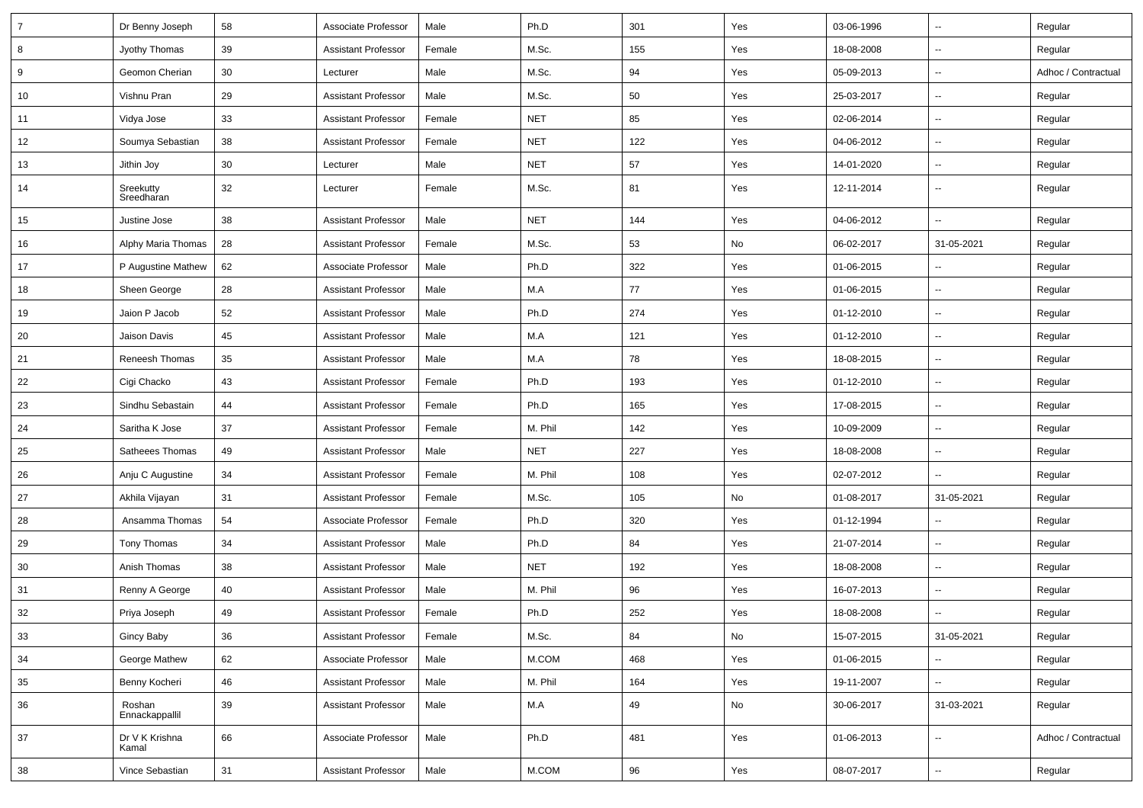| $\overline{7}$ | Dr Benny Joseph          | 58 | Associate Professor        | Male   | Ph.D       | 301 | Yes | 03-06-1996 | $\overline{\phantom{a}}$ | Regular             |
|----------------|--------------------------|----|----------------------------|--------|------------|-----|-----|------------|--------------------------|---------------------|
| 8              | Jyothy Thomas            | 39 | Assistant Professor        | Female | M.Sc.      | 155 | Yes | 18-08-2008 | Ξ.                       | Regular             |
| 9              | Geomon Cherian           | 30 | Lecturer                   | Male   | M.Sc.      | 94  | Yes | 05-09-2013 | --                       | Adhoc / Contractual |
| 10             | Vishnu Pran              | 29 | <b>Assistant Professor</b> | Male   | M.Sc.      | 50  | Yes | 25-03-2017 | $\overline{\phantom{a}}$ | Regular             |
| 11             | Vidya Jose               | 33 | Assistant Professor        | Female | <b>NET</b> | 85  | Yes | 02-06-2014 | --                       | Regular             |
| 12             | Soumya Sebastian         | 38 | <b>Assistant Professor</b> | Female | <b>NET</b> | 122 | Yes | 04-06-2012 | Ξ.                       | Regular             |
| 13             | Jithin Joy               | 30 | Lecturer                   | Male   | <b>NET</b> | 57  | Yes | 14-01-2020 | Ξ.                       | Regular             |
| 14             | Sreekutty<br>Sreedharan  | 32 | Lecturer                   | Female | M.Sc.      | 81  | Yes | 12-11-2014 | u.                       | Regular             |
| 15             | Justine Jose             | 38 | <b>Assistant Professor</b> | Male   | <b>NET</b> | 144 | Yes | 04-06-2012 | Ξ.                       | Regular             |
| 16             | Alphy Maria Thomas       | 28 | <b>Assistant Professor</b> | Female | M.Sc.      | 53  | No  | 06-02-2017 | 31-05-2021               | Regular             |
| 17             | P Augustine Mathew       | 62 | Associate Professor        | Male   | Ph.D       | 322 | Yes | 01-06-2015 | $\overline{\phantom{a}}$ | Regular             |
| 18             | Sheen George             | 28 | <b>Assistant Professor</b> | Male   | M.A        | 77  | Yes | 01-06-2015 | $\overline{\phantom{a}}$ | Regular             |
| 19             | Jaion P Jacob            | 52 | Assistant Professor        | Male   | Ph.D       | 274 | Yes | 01-12-2010 | Ξ.                       | Regular             |
| 20             | Jaison Davis             | 45 | <b>Assistant Professor</b> | Male   | M.A        | 121 | Yes | 01-12-2010 | u.                       | Regular             |
| 21             | Reneesh Thomas           | 35 | Assistant Professor        | Male   | M.A        | 78  | Yes | 18-08-2015 | Ξ.                       | Regular             |
| 22             | Cigi Chacko              | 43 | <b>Assistant Professo</b>  | Female | Ph.D       | 193 | Yes | 01-12-2010 | --                       | Regular             |
| 23             | Sindhu Sebastain         | 44 | Assistant Professor        | Female | Ph.D       | 165 | Yes | 17-08-2015 | --                       | Regular             |
| 24             | Saritha K Jose           | 37 | Assistant Professor        | Female | M. Phil    | 142 | Yes | 10-09-2009 | $\overline{\phantom{a}}$ | Regular             |
| 25             | Satheees Thomas          | 49 | <b>Assistant Professor</b> | Male   | <b>NET</b> | 227 | Yes | 18-08-2008 | Ξ.                       | Regular             |
| 26             | Anju C Augustine         | 34 | <b>Assistant Professor</b> | Female | M. Phil    | 108 | Yes | 02-07-2012 | u.                       | Regular             |
| 27             | Akhila Vijayan           | 31 | Assistant Professor        | Female | M.Sc.      | 105 | No  | 01-08-2017 | 31-05-2021               | Regular             |
| 28             | Ansamma Thomas           | 54 | Associate Professor        | Female | Ph.D       | 320 | Yes | 01-12-1994 | --                       | Regular             |
| 29             | Tony Thomas              | 34 | <b>Assistant Professor</b> | Male   | Ph.D       | 84  | Yes | 21-07-2014 | --                       | Regular             |
| 30             | Anish Thomas             | 38 | <b>Assistant Professor</b> | Male   | <b>NET</b> | 192 | Yes | 18-08-2008 | $\overline{\phantom{a}}$ | Regular             |
| 31             | Renny A George           | 40 | Assistant Professor        | Male   | M. Phil    | 96  | Yes | 16-07-2013 | --                       | Regular             |
| 32             | Priya Joseph             | 49 | <b>Assistant Professor</b> | Female | Ph.D       | 252 | Yes | 18-08-2008 | u.                       | Regular             |
| $33\,$         | Gincy Baby               | 36 | <b>Assistant Professor</b> | Female | M.Sc.      | 84  | No  | 15-07-2015 | 31-05-2021               | Regular             |
| 34             | George Mathew            | 62 | Associate Professor        | Male   | M.COM      | 468 | Yes | 01-06-2015 | Ξ.                       | Regular             |
| 35             | Benny Kocheri            | 46 | <b>Assistant Professor</b> | Male   | M. Phil    | 164 | Yes | 19-11-2007 | --                       | Regular             |
| 36             | Roshan<br>Ennackappallil | 39 | <b>Assistant Professor</b> | Male   | M.A        | 49  | No  | 30-06-2017 | 31-03-2021               | Regular             |
| 37             | Dr V K Krishna<br>Kamal  | 66 | Associate Professor        | Male   | Ph.D       | 481 | Yes | 01-06-2013 | Ξ.                       | Adhoc / Contractual |
| 38             | Vince Sebastian          | 31 | <b>Assistant Professor</b> | Male   | M.COM      | 96  | Yes | 08-07-2017 | ۰.                       | Regular             |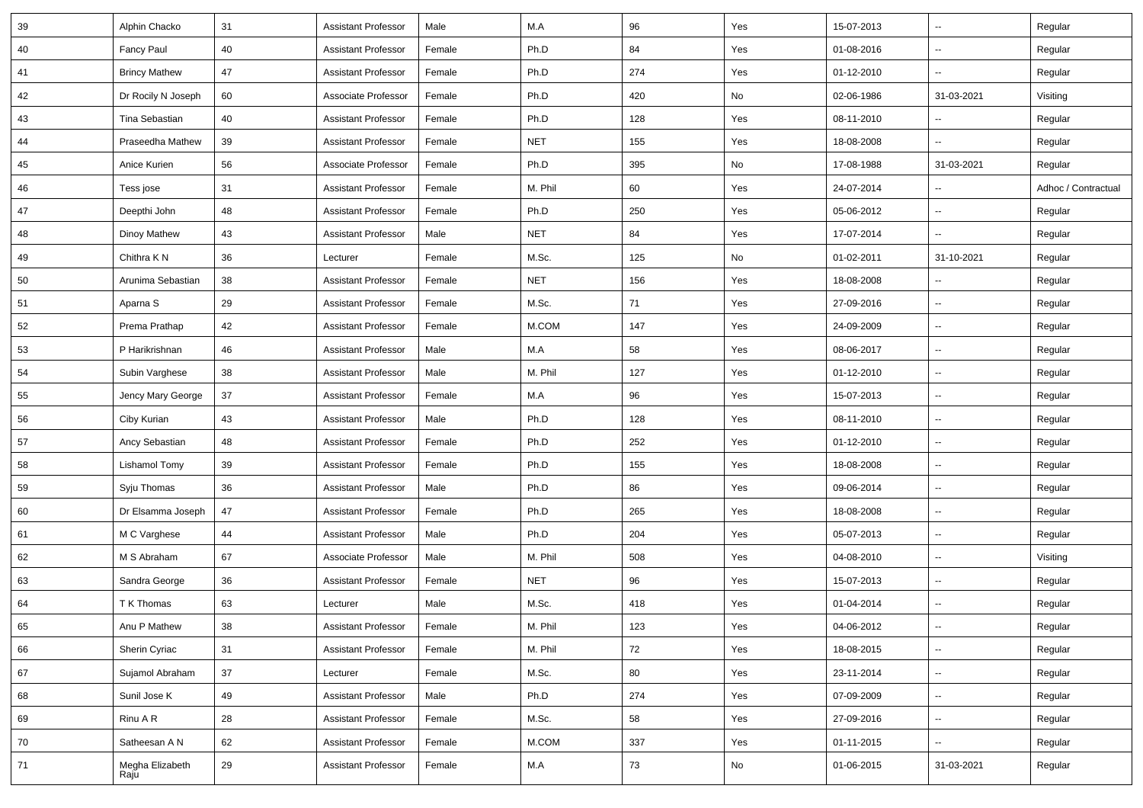| 39 | Alphin Chacko           | 31     | <b>Assistant Professor</b> | Male   | M.A        | 96  | Yes | 15-07-2013 | $\sim$                   | Regular             |
|----|-------------------------|--------|----------------------------|--------|------------|-----|-----|------------|--------------------------|---------------------|
| 40 | Fancy Paul              | 40     | <b>Assistant Professor</b> | Female | Ph.D       | 84  | Yes | 01-08-2016 | $\sim$                   | Regular             |
| 41 | <b>Brincy Mathew</b>    | 47     | <b>Assistant Professor</b> | Female | Ph.D       | 274 | Yes | 01-12-2010 | --                       | Regular             |
| 42 | Dr Rocily N Joseph      | 60     | Associate Professor        | Female | Ph.D       | 420 | No  | 02-06-1986 | 31-03-2021               | Visiting            |
| 43 | Tina Sebastian          | 40     | <b>Assistant Professor</b> | Female | Ph.D       | 128 | Yes | 08-11-2010 |                          | Regular             |
| 44 | Praseedha Mathew        | 39     | <b>Assistant Professor</b> | Female | <b>NET</b> | 155 | Yes | 18-08-2008 |                          | Regular             |
| 45 | Anice Kurien            | 56     | Associate Professor        | Female | Ph.D       | 395 | No  | 17-08-1988 | 31-03-2021               | Regular             |
| 46 | Tess jose               | 31     | <b>Assistant Professor</b> | Female | M. Phil    | 60  | Yes | 24-07-2014 | $\overline{a}$           | Adhoc / Contractual |
| 47 | Deepthi John            | 48     | <b>Assistant Professor</b> | Female | Ph.D       | 250 | Yes | 05-06-2012 | Щ,                       | Regular             |
| 48 | Dinoy Mathew            | 43     | <b>Assistant Professor</b> | Male   | <b>NET</b> | 84  | Yes | 17-07-2014 | ш,                       | Regular             |
| 49 | Chithra K N             | 36     | Lecturer                   | Female | M.Sc.      | 125 | No  | 01-02-2011 | 31-10-2021               | Regular             |
| 50 | Arunima Sebastian       | 38     | <b>Assistant Professor</b> | Female | <b>NET</b> | 156 | Yes | 18-08-2008 |                          | Regular             |
| 51 | Aparna S                | 29     | <b>Assistant Professor</b> | Female | M.Sc.      | 71  | Yes | 27-09-2016 | ш,                       | Regular             |
| 52 | Prema Prathap           | 42     | <b>Assistant Professor</b> | Female | M.COM      | 147 | Yes | 24-09-2009 | $\sim$                   | Regular             |
| 53 | P Harikrishnan          | 46     | <b>Assistant Professor</b> | Male   | M.A        | 58  | Yes | 08-06-2017 | Щ,                       | Regular             |
| 54 | Subin Varghese          | 38     | <b>Assistant Professor</b> | Male   | M. Phil    | 127 | Yes | 01-12-2010 | $\sim$                   | Regular             |
| 55 | Jency Mary George       | 37     | <b>Assistant Professor</b> | Female | M.A        | 96  | Yes | 15-07-2013 | $\overline{a}$           | Regular             |
| 56 | Ciby Kurian             | 43     | <b>Assistant Professor</b> | Male   | Ph.D       | 128 | Yes | 08-11-2010 | $\sim$                   | Regular             |
| 57 | Ancy Sebastian          | 48     | <b>Assistant Professor</b> | Female | Ph.D       | 252 | Yes | 01-12-2010 | $\sim$                   | Regular             |
| 58 | Lishamol Tomy           | 39     | <b>Assistant Professor</b> | Female | Ph.D       | 155 | Yes | 18-08-2008 | $\sim$                   | Regular             |
| 59 | Syju Thomas             | 36     | <b>Assistant Professor</b> | Male   | Ph.D       | 86  | Yes | 09-06-2014 | Щ,                       | Regular             |
| 60 | Dr Elsamma Joseph       | $47\,$ | <b>Assistant Professor</b> | Female | Ph.D       | 265 | Yes | 18-08-2008 | $\sim$                   | Regular             |
| 61 | M C Varghese            | 44     | <b>Assistant Professor</b> | Male   | Ph.D       | 204 | Yes | 05-07-2013 | $\overline{a}$           | Regular             |
| 62 | M S Abraham             | 67     | Associate Professor        | Male   | M. Phil    | 508 | Yes | 04-08-2010 | ш.                       | Visiting            |
| 63 | Sandra George           | 36     | <b>Assistant Professor</b> | Female | <b>NET</b> | 96  | Yes | 15-07-2013 | ш,                       | Regular             |
| 64 | T K Thomas              | 63     | Lecturer                   | Male   | M.Sc.      | 418 | Yes | 01-04-2014 | $\sim$                   | Regular             |
| 65 | Anu P Mathew            | 38     | <b>Assistant Professor</b> | Female | M. Phil    | 123 | Yes | 04-06-2012 | $\overline{\phantom{a}}$ | Regular             |
| 66 | Sherin Cyriac           | 31     | <b>Assistant Professor</b> | Female | M. Phil    | 72  | Yes | 18-08-2015 | u.                       | Regular             |
| 67 | Sujamol Abraham         | 37     | Lecturer                   | Female | M.Sc.      | 80  | Yes | 23-11-2014 | ш.                       | Regular             |
| 68 | Sunil Jose K            | 49     | <b>Assistant Professor</b> | Male   | Ph.D       | 274 | Yes | 07-09-2009 | u.                       | Regular             |
| 69 | Rinu A R                | 28     | <b>Assistant Professor</b> | Female | M.Sc.      | 58  | Yes | 27-09-2016 | ш.                       | Regular             |
| 70 | Satheesan A N           | 62     | <b>Assistant Professor</b> | Female | M.COM      | 337 | Yes | 01-11-2015 | $\overline{\phantom{a}}$ | Regular             |
| 71 | Megha Elizabeth<br>Raju | 29     | <b>Assistant Professor</b> | Female | M.A        | 73  | No  | 01-06-2015 | 31-03-2021               | Regular             |